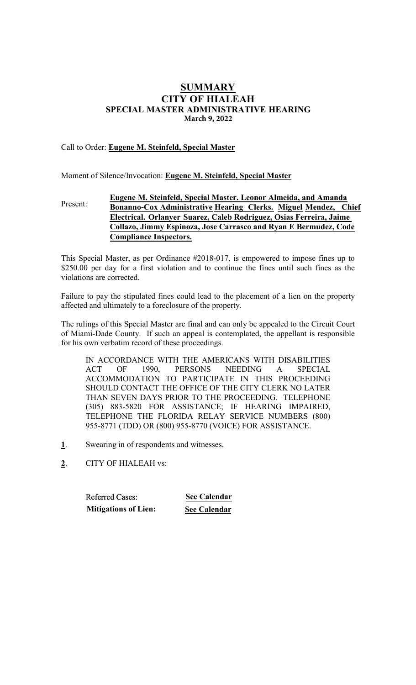# SUMMARY CITY OF HIALEAH SPECIAL MASTER ADMINISTRATIVE HEARING **March 9, 2022**

# Call to Order: Eugene M. Steinfeld, Special Master

Moment of Silence/Invocation: Eugene M. Steinfeld, Special Master

#### Present: Eugene M. Steinfeld, Special Master. Leonor **Almeida**, **and Amanda Bonanno-Cox** Administrative Hearing Clerk**s**. Miguel Mendez, Chief Electrical. Orlanyer Suarez, **Caleb Rodriguez, Osias Ferreira, Jaime Collazo, Jimmy Espinoza, Jose Carrasco and Ryan E Bermudez, Code Compliance Inspectors.**

This Special Master, as per Ordinance #2018-017, is empowered to impose fines up to \$250.00 per day for a first violation and to continue the fines until such fines as the violations are corrected.

Failure to pay the stipulated fines could lead to the placement of a lien on the property affected and ultimately to a foreclosure of the property.

The rulings of this Special Master are final and can only be appealed to the Circuit Court of Miami-Dade County. If such an appeal is contemplated, the appellant is responsible for his own verbatim record of these proceedings.

IN ACCORDANCE WITH THE AMERICANS WITH DISABILITIES ACT OF 1990, PERSONS NEEDING A SPECIAL ACCOMMODATION TO PARTICIPATE IN THIS PROCEEDING SHOULD CONTACT THE OFFICE OF THE CITY CLERK NO LATER THAN SEVEN DAYS PRIOR TO THE PROCEEDING. TELEPHONE (305) 883-5820 FOR ASSISTANCE; IF HEARING IMPAIRED, TELEPHONE THE FLORIDA RELAY SERVICE NUMBERS (800) 955-8771 (TDD) OR (800) 955-8770 (VOICE) FOR ASSISTANCE.

- 1. Swearing in of respondents and witnesses.
- 2. CITY OF HIALEAH vs:

Referred Cases: **See Calendar Mitigations of Lien: See Calendar**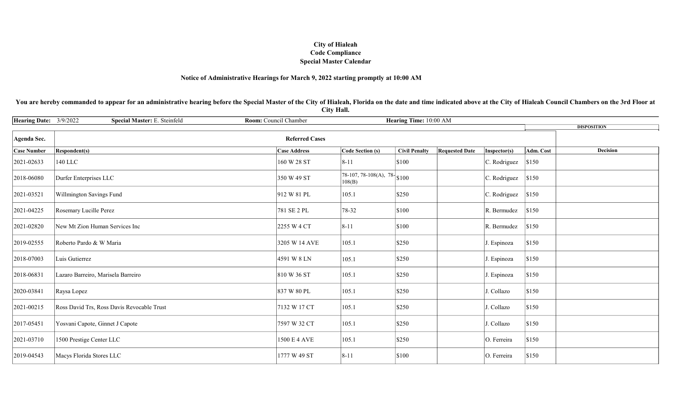### Notice of Administrative Hearings for March 9, 2022 starting promptly at 10:00 AM

You are hereby commanded to appear for an administrative hearing before the Special Master of the City of Hialeah, Florida on the date and time indicated above at the City of Hialeah Council Chambers on the 3rd Floor at City Hall.

| <b>Hearing Date:</b> | 3/9/2022<br>Room: Council Chamber<br>Special Master: E. Steinfeld<br>Hearing Time: 10:00 AM |                     |                                                    |                      |                       |              |           |                    |  |
|----------------------|---------------------------------------------------------------------------------------------|---------------------|----------------------------------------------------|----------------------|-----------------------|--------------|-----------|--------------------|--|
|                      |                                                                                             |                     |                                                    |                      |                       |              |           | <b>DISPOSITION</b> |  |
| Agenda Sec.          |                                                                                             |                     |                                                    |                      |                       |              |           |                    |  |
| <b>Case Number</b>   | <b>Respondent(s)</b>                                                                        | <b>Case Address</b> | Code Section (s)                                   | <b>Civil Penalty</b> | <b>Requested Date</b> | Inspector(s) | Adm. Cost | <b>Decision</b>    |  |
| 2021-02633           | 140 LLC                                                                                     | 160 W 28 ST         | $8 - 11$                                           | \$100                |                       | C. Rodriguez | \$150     |                    |  |
| 2018-06080           | Durfer Enterprises LLC                                                                      | 350 W 49 ST         | $\sqrt{78-107, 78-108(A)}, 78 - \$ \$100<br>108(B) |                      |                       | C. Rodriguez | \$150     |                    |  |
| 2021-03521           | Willmington Savings Fund                                                                    | 912 W 81 PL         | 105.1                                              | \$250                |                       | C. Rodriguez | \$150     |                    |  |
| 2021-04225           | Rosemary Lucille Perez                                                                      | 781 SE 2 PL         | 78-32                                              | \$100                |                       | R. Bermudez  | \$150     |                    |  |
| 2021-02820           | New Mt Zion Human Services Inc                                                              | 2255 W 4 CT         | $8 - 11$                                           | \$100                |                       | R. Bermudez  | \$150     |                    |  |
| 2019-02555           | Roberto Pardo & W Maria                                                                     | 3205 W 14 AVE       | 105.1                                              | \$250                |                       | J. Espinoza  | \$150     |                    |  |
| 2018-07003           | Luis Gutierrez                                                                              | 4591 W 8 LN         | 105.1                                              | \$250                |                       | J. Espinoza  | \$150     |                    |  |
| 2018-06831           | Lazaro Barreiro, Marisela Barreiro                                                          | 810 W 36 ST         | 105.1                                              | \$250                |                       | J. Espinoza  | \$150     |                    |  |
| 2020-03841           | Raysa Lopez                                                                                 | 837 W 80 PL         | 105.1                                              | \$250                |                       | J. Collazo   | \$150     |                    |  |
| 2021-00215           | Ross David Trs, Ross Davis Revocable Trust                                                  | 7132 W 17 CT        | 105.1                                              | \$250                |                       | J. Collazo   | \$150     |                    |  |
| 2017-05451           | Yosvani Capote, Ginnet J Capote                                                             | 7597 W 32 CT        | 105.1                                              | \$250                |                       | J. Collazo   | \$150     |                    |  |
| 2021-03710           | 1500 Prestige Center LLC                                                                    | 1500 E 4 AVE        | 105.1                                              | \$250                |                       | O. Ferreira  | \$150     |                    |  |
| 2019-04543           | Macys Florida Stores LLC                                                                    | 1777 W 49 ST        | $8 - 11$                                           | \$100                |                       | O. Ferreira  | \$150     |                    |  |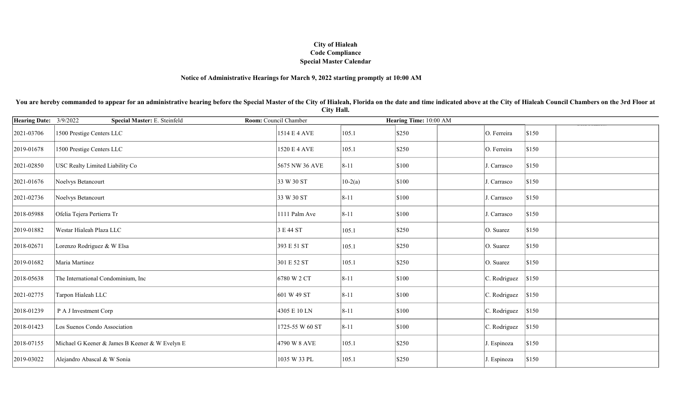### Notice of Administrative Hearings for March 9, 2022 starting promptly at 10:00 AM

You are hereby commanded to appear for an administrative hearing before the Special Master of the City of Hialeah, Florida on the date and time indicated above at the City of Hialeah Council Chambers on the 3rd Floor at City Hall.

| <b>Hearing Date:</b> | 3/9/2022<br>Special Master: E. Steinfeld<br>Room: Council Chamber |                 |           | Hearing Time: 10:00 AM |                              |  |
|----------------------|-------------------------------------------------------------------|-----------------|-----------|------------------------|------------------------------|--|
| 2021-03706           | 1500 Prestige Centers LLC                                         | 1514 E 4 AVE    | 105.1     | \$250                  | O. Ferreira<br>\$150         |  |
| 2019-01678           | 1500 Prestige Centers LLC                                         | 1520 E 4 AVE    | 105.1     | \$250                  | O. Ferreira<br>\$150         |  |
| 2021-02850           | USC Realty Limited Liability Co                                   | 5675 NW 36 AVE  | $8 - 11$  | \$100                  | \$150<br>J. Carrasco         |  |
| 2021-01676           | Noelvys Betancourt                                                | 33 W 30 ST      | $10-2(a)$ | \$100                  | \$150<br>J. Carrasco         |  |
| 2021-02736           | Noelvys Betancourt                                                | 33 W 30 ST      | $8 - 11$  | \$100                  | \$150<br>J. Carrasco         |  |
| 2018-05988           | Ofelia Tejera Pertierra Tr                                        | 1111 Palm Ave   | $8 - 11$  | \$100                  | \$150<br>J. Carrasco         |  |
| 2019-01882           | Westar Hialeah Plaza LLC                                          | 3 E 44 ST       | 105.1     | \$250                  | \$150<br>O. Suarez           |  |
| 2018-02671           | Lorenzo Rodriguez & W Elsa                                        | 393 E 51 ST     | 105.1     | \$250                  | \$150<br>O. Suarez           |  |
| 2019-01682           | Maria Martinez                                                    | 301 E 52 ST     | 105.1     | \$250                  | \$150<br>O. Suarez           |  |
| 2018-05638           | The International Condominium, Inc                                | 6780 W 2 CT     | $8 - 11$  | \$100                  | C. Rodriguez<br>\$150        |  |
| 2021-02775           | Tarpon Hialeah LLC                                                | 601 W 49 ST     | $8 - 11$  | \$100                  | C. Rodriguez<br>\$150        |  |
| 2018-01239           | P A J Investment Corp                                             | 4305 E 10 LN    | $8 - 11$  | \$100                  | $ C.$ Rodriguez $ \$150$     |  |
| 2018-01423           | Los Suenos Condo Association                                      | 1725-55 W 60 ST | $8 - 11$  | \$100                  | C. Rodriguez<br>\$150        |  |
| 2018-07155           | Michael G Keener & James B Keener & W Evelyn E                    | 4790 W 8 AVE    | 105.1     | \$250                  | \$150<br>J. Espinoza         |  |
| 2019-03022           | Alejandro Abascal & W Sonia                                       | 1035 W 33 PL    | 105.1     | \$250                  | $\vert$ \$150<br>J. Espinoza |  |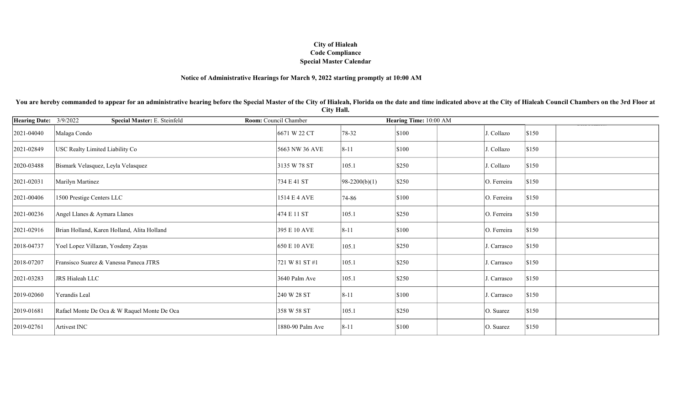### Notice of Administrative Hearings for March 9, 2022 starting promptly at 10:00 AM

You are hereby commanded to appear for an administrative hearing before the Special Master of the City of Hialeah, Florida on the date and time indicated above at the City of Hialeah Council Chambers on the 3rd Floor at City Hall.

| <b>Hearing Date:</b> | 3/9/2022<br>Special Master: E. Steinfeld    | Room: Council Chamber |                 | Hearing Time: 10:00 AM |                      |  |
|----------------------|---------------------------------------------|-----------------------|-----------------|------------------------|----------------------|--|
| 2021-04040           | Malaga Condo                                | 6671 W 22 CT          | 78-32           | \$100                  | \$150<br>J. Collazo  |  |
| 2021-02849           | USC Realty Limited Liability Co             | 5663 NW 36 AVE        | $8 - 11$        | \$100                  | \$150<br>J. Collazo  |  |
| 2020-03488           | Bismark Velasquez, Leyla Velasquez          | 3135 W 78 ST          | 105.1           | \$250                  | \$150<br>J. Collazo  |  |
| 2021-02031           | Marilyn Martinez                            | 734 E 41 ST           | $98-2200(b)(1)$ | \$250                  | \$150<br>O. Ferreira |  |
| 2021-00406           | 1500 Prestige Centers LLC                   | 1514 E 4 AVE          | 74-86           | \$100                  | \$150<br>O. Ferreira |  |
| 2021-00236           | Angel Llanes & Aymara Llanes                | 474 E 11 ST           | 105.1           | \$250                  | O. Ferreira<br>\$150 |  |
| 2021-02916           | Brian Holland, Karen Holland, Alita Holland | 395 E 10 AVE          | $8 - 11$        | \$100                  | O. Ferreira<br>\$150 |  |
| 2018-04737           | Yoel Lopez Villazan, Yosdeny Zayas          | 650 E 10 AVE          | 105.1           | \$250                  | \$150<br>J. Carrasco |  |
| 2018-07207           | Fransisco Suarez & Vanessa Paneca JTRS      | 721 W 81 ST #1        | 105.1           | \$250                  | \$150<br>J. Carrasco |  |
| 2021-03283           | JRS Hialeah LLC                             | 3640 Palm Ave         | 105.1           | \$250                  | \$150<br>J. Carrasco |  |
| 2019-02060           | Yerandis Leal                               | 240 W 28 ST           | $8 - 11$        | \$100                  | \$150<br>J. Carrasco |  |
| 2019-01681           | Rafael Monte De Oca & W Raquel Monte De Oca | 358 W 58 ST           | 105.1           | \$250                  | \$150<br>O. Suarez   |  |
| 2019-02761           | Artivest INC                                | 1880-90 Palm Ave      | $8 - 11$        | \$100                  | \$150<br>O. Suarez   |  |